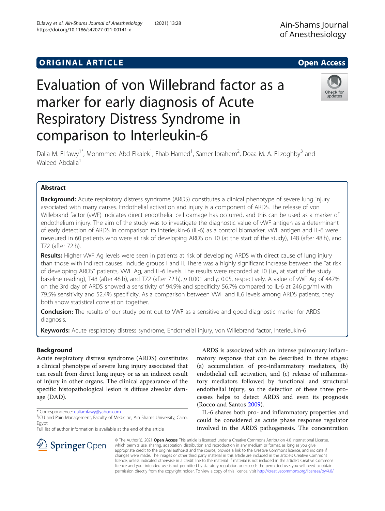# Evaluation of von Willebrand factor as a marker for early diagnosis of Acute Respiratory Distress Syndrome in comparison to Interleukin-6



Dalia M. ELfawy<sup>1\*</sup>, Mohmmed Abd Elkalek<sup>1</sup>, Ehab Hamed<sup>1</sup>, Samer Ibrahem<sup>2</sup>, Doaa M. A. ELzoghby<sup>3</sup> and Waleed Abdalla<sup>1</sup>

# Abstract

**Background:** Acute respiratory distress syndrome (ARDS) constitutes a clinical phenotype of severe lung injury associated with many causes. Endothelial activation and injury is a component of ARDS. The release of von Willebrand factor (vWF) indicates direct endothelial cell damage has occurred, and this can be used as a marker of endothelium injury. The aim of the study was to investigate the diagnostic value of vWF antigen as a determinant of early detection of ARDS in comparison to interleukin-6 (IL-6) as a control biomarker. vWF antigen and IL-6 were measured in 60 patients who were at risk of developing ARDS on T0 (at the start of the study), T48 (after 48 h), and T72 (after 72 h).

Results: Higher vWF Ag levels were seen in patients at risk of developing ARDS with direct cause of lung injury than those with indirect causes. Include groups I and II. There was a highly significant increase between the "at risk of developing ARDS" patients, VWF Ag, and IL-6 levels. The results were recorded at T0 (i.e., at start of the study baseline reading), T48 (after 48 h), and T72 (after 72 h), p 0.001 and p 0.05, respectively. A value of vWF Ag of 447% on the 3rd day of ARDS showed a sensitivity of 94.9% and specificity 56.7% compared to IL-6 at 246 pg/ml with 79.5% sensitivity and 52.4% specificity. As a comparison between VWF and IL6 levels among ARDS patients, they both show statistical correlation together.

**Conclusion:** The results of our study point out to VWF as a sensitive and good diagnostic marker for ARDS diagnosis.

Keywords: Acute respiratory distress syndrome, Endothelial injury, von Willebrand factor, Interleukin-6

# Background

Acute respiratory distress syndrome (ARDS) constitutes a clinical phenotype of severe lung injury associated that can result from direct lung injury or as an indirect result of injury in other organs. The clinical appearance of the specific histopathological lesion is diffuse alveolar damage (DAD).

\* Correspondence: [daliamfawy@yahoo.com](mailto:daliamfawy@yahoo.com) <sup>1</sup>

 $\mathcal{L}$  Springer Open

Full list of author information is available at the end of the article

ARDS is associated with an intense pulmonary inflammatory response that can be described in three stages: (a) accumulation of pro-inflammatory mediators, (b) endothelial cell activation, and (c) release of inflammatory mediators followed by functional and structural endothelial injury, so the detection of these three processes helps to detect ARDS and even its prognosis (Rocco and Santos [2009](#page-6-0)).

IL-6 shares both pro- and inflammatory properties and could be considered as acute phase response regulator involved in the ARDS pathogenesis. The concentration

© The Author(s). 2021 Open Access This article is licensed under a Creative Commons Attribution 4.0 International License, which permits use, sharing, adaptation, distribution and reproduction in any medium or format, as long as you give appropriate credit to the original author(s) and the source, provide a link to the Creative Commons licence, and indicate if changes were made. The images or other third party material in this article are included in the article's Creative Commons licence, unless indicated otherwise in a credit line to the material. If material is not included in the article's Creative Commons licence and your intended use is not permitted by statutory regulation or exceeds the permitted use, you will need to obtain permission directly from the copyright holder. To view a copy of this licence, visit <http://creativecommons.org/licenses/by/4.0/>.

<sup>&</sup>lt;sup>1</sup>ICU and Pain Management, Faculty of Medicine, Ain Shams University, Cairo, Egypt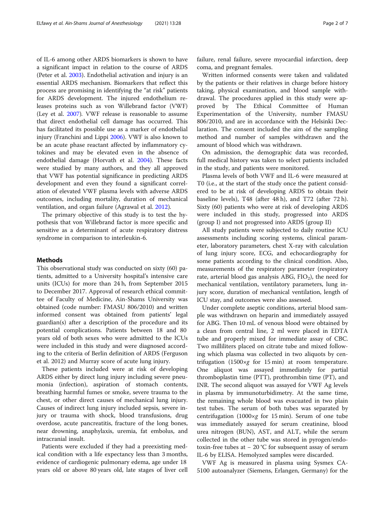of IL-6 among other ARDS biomarkers is shown to have a significant impact in relation to the course of ARDS (Peter et al. [2003](#page-6-0)). Endothelial activation and injury is an essential ARDS mechanism. Biomarkers that reflect this process are promising in identifying the "at risk" patients for ARDS development. The injured endothelium releases proteins such as von Willebrand factor (VWF) (Ley et al. [2007](#page-6-0)). VWF release is reasonable to assume that direct endothelial cell damage has occurred. This has facilitated its possible use as a marker of endothelial injury (Franchini and Lippi [2006](#page-5-0)). VWF is also known to be an acute phase reactant affected by inflammatory cytokines and may be elevated even in the absence of endothelial damage (Horvath et al. [2004\)](#page-6-0). These facts were studied by many authors, and they all approved that VWF has potential significance in predicting ARDS development and even they found a significant correlation of elevated VWF plasma levels with adverse ARDS outcomes, including mortality, duration of mechanical ventilation, and organ failure (Agrawal et al. [2012\)](#page-5-0).

The primary objective of this study is to test the hypothesis that von Willebrand factor is more specific and sensitive as a determinant of acute respiratory distress syndrome in comparison to interleukin-6.

#### Methods

This observational study was conducted on sixty (60) patients, admitted to a University hospital's intensive care units (ICUs) for more than 24 h, from September 2015 to December 2017. Approval of research ethical committee of Faculty of Medicine, Ain-Shams University was obtained (code number: FMASU 806/2010) and written informed consent was obtained from patients' legal guardian(s) after a description of the procedure and its potential complications. Patients between 18 and 80 years old of both sexes who were admitted to the ICUs were included in this study and were diagnosed according to the criteria of Berlin definition of ARDS (Ferguson et al. 2012) and Murray score of acute lung injury.

These patients included were at risk of developing ARDS either by direct lung injury including severe pneumonia (infection), aspiration of stomach contents, breathing harmful fumes or smoke, severe trauma to the chest, or other direct causes of mechanical lung injury. Causes of indirect lung injury included sepsis, severe injury or trauma with shock, blood transfusions, drug overdose, acute pancreatitis, fracture of the long bones, near drowning, anaphylaxis, uremia, fat embolus, and intracranial insult.

Patients were excluded if they had a preexisting medical condition with a life expectancy less than 3 months, evidence of cardiogenic pulmonary edema, age under 18 years old or above 80 years old, late stages of liver cell failure, renal failure, severe myocardial infarction, deep coma, and pregnant females.

Written informed consents were taken and validated by the patients or their relatives in charge before history taking, physical examination, and blood sample withdrawal. The procedures applied in this study were approved by The Ethical Committee of Human Experimentation of the University, number FMASU 806/2010, and are in accordance with the Helsinki Declaration. The consent included the aim of the sampling method and number of samples withdrawn and the amount of blood which was withdrawn.

On admission, the demographic data was recorded, full medical history was taken to select patients included in the study, and patients were monitored.

Plasma levels of both VWF and IL-6 were measured at T0 (i.e., at the start of the study once the patient considered to be at risk of developing ARDS to obtain their baseline levels), T48 (after 48 h), and T72 (after 72 h). Sixty (60) patients who were at risk of developing ARDS were included in this study, progressed into ARDS (group I) and not progressed into ARDS (group II)

All study patients were subjected to daily routine ICU assessments including scoring systems, clinical parameter, laboratory parameters, chest X-ray with calculation of lung injury score, ECG, and echocardiography for some patients according to the clinical condition. Also, measurements of the respiratory parameter (respiratory rate, arterial blood gas analysis ABG,  $FIO<sub>2</sub>$ ), the need for mechanical ventilation, ventilatory parameters, lung injury score, duration of mechanical ventilation, length of ICU stay, and outcomes were also assessed.

Under complete aseptic conditions, arterial blood sample was withdrawn on heparin and immediately assayed for ABG. Then 10 mL of venous blood were obtained by a clean from central line, 2 ml were placed in EDTA tube and properly mixed for immediate assay of CBC. Two milliliters placed on citrate tube and mixed following which plasma was collected in two aliquots by centrifugation (1500×g for 15 min) at room temperature. One aliquot was assayed immediately for partial thromboplastin time (PTT), prothrombin time (PT), and INR. The second aliquot was assayed for VWF Ag levels in plasma by immunoturbidimetry. At the same time, the remaining whole blood was evacuated in two plain test tubes. The serum of both tubes was separated by centrifugation (1000×g for 15 min). Serum of one tube was immediately assayed for serum creatinine, blood urea nitrogen (BUN), AST, and ALT, while the serum collected in the other tube was stored in pyrogen/endotoxin-free tubes at − 20 °C for subsequent assay of serum IL-6 by ELISA. Hemolyzed samples were discarded.

VWF Ag is measured in plasma using Sysmex CA-5100 autoanalyzer (Siemens, Erlangen, Germany) for the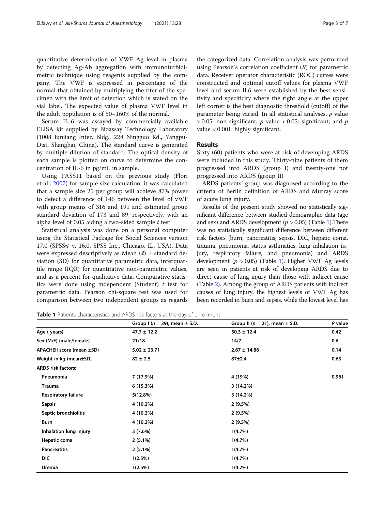quantitative determination of VWF Ag level in plasma by detecting Ag-Ab aggregation with immunoturbidimetric technique using reagents supplied by the company. The VWF is expressed in percentage of the normal that obtained by multiplying the titer of the specimen with the limit of detection which is stated on the vial label. The expected value of plasma VWF level in the adult population is of 50–160% of the normal.

Serum IL-6 was assayed by commercially available ELISA kit supplied by Bioassay Technology Laboratory (1008 Junjiang Inter. Bldg., 228 Ningguo Rd., Yangpu-Dist, Shanghai, China). The standard curve is generated by multiple dilution of standard. The optical density of each sample is plotted on curve to determine the concentration of IL-6 in pg/mL in sample.

Using PASS11 based on the previous study (Flori et al., [2007\)](#page-5-0) for sample size calculation, it was calculated that a sample size 25 per group will achieve 87% power to detect a difference of 146 between the level of vWF with group means of 316 and 191 and estimated group standard deviation of 173 and 89, respectively, with an alpha level of 0.05 aiding a two-sided sample  $t$  test

Statistical analysis was done on a personal computer using the Statistical Package for Social Sciences version 17.0 (SPSS© v. 16.0, SPSS Inc., Chicago, IL, USA). Data were expressed descriptively as Mean  $(\bar{x}) \pm$  standard deviation (SD) for quantitative parametric data, interquartile range (IQR) for quantitative non-parametric values, and as a percent for qualitative data. Comparative statistics were done using independent (Student)  $t$  test for parametric data. Pearson chi-square test was used for comparison between two independent groups as regards

the categorized data. Correlation analysis was performed using Pearson's correlation coefficient  $(R)$  for parametric data. Receiver operator characteristic (ROC) curves were constructed and optimal cutoff values for plasma VWF level and serum IL6 were established by the best sensitivity and specificity where the right angle at the upper left corner is the best diagnostic threshold (cutoff) of the parameter being varied. In all statistical analyses,  $p$  value  $> 0.05$ : non significant; p value < 0.05: significant; and p value < 0.001: highly significant.

### Results

Sixty (60) patients who were at risk of developing ARDS were included in this study. Thirty-nine patients of them progressed into ARDS (group I) and twenty-one not progressed into ARDS (group II)

ARDS patients' group was diagnosed according to the criteria of Berlin definition of ARDS and Murray score of acute lung injury.

Results of the present study showed no statistically significant difference between studied demographic data (age and sex) and ARDS development ( $p > 0.05$ ) (Table 1). There was no statistically significant difference between different risk factors (burn, pancreatitis, sepsis, DIC, hepatic coma, trauma, pneumonia, status asthmatics, lung inhalation injury, respiratory failure, and pneumonia) and ARDS development ( $p > 0.05$ ) (Table 1). Higher VWF Ag levels are seen in patients at risk of developing ARDS due to direct cause of lung injury than those with indirect cause (Table [2](#page-3-0)). Among the group of ARDS patients with indirect causes of lung injury, the highest levels of VWF Ag has been recorded in burn and sepsis, while the lowest level has

Table 1 Patients characteristics and ARDS risk factors at the day of enrollment

|                            | Group I ( $n = 39$ ), mean $\pm$ S.D. | Group II ( $n = 21$ ), mean $\pm$ S.D. | P value |
|----------------------------|---------------------------------------|----------------------------------------|---------|
| Age (years)                | $47.7 \pm 12.2$                       | $50.3 \pm 12.4$                        | 0.42    |
| Sex (M/F) (male/female)    | 21/18                                 | 14/7                                   | 0.6     |
| APACHEII score (mean ±SD)  | $5.02 \pm 23.71$                      | $2.67 \pm 14.86$                       | 0.14    |
| Weight in kg (mean±SD)     | $82 \pm 2.5$                          | $87 + 2.4$                             | 0.63    |
| <b>ARDS</b> risk factors:  |                                       |                                        |         |
| Pneumonia                  | 7 (17.9%)                             | 4 (19%)                                | 0.961   |
| <b>Trauma</b>              | 6(15.3%)                              | 3 (14.2%)                              |         |
| <b>Respiratory failure</b> | 5(12.8%)                              | 3(14.2%)                               |         |
| Sepsis                     | 4 (10.2%)                             | $2(9.5\%)$                             |         |
| Septic bronchiolitis       | 4 (10.2%)                             | $2(9.5\%)$                             |         |
| Burn                       | 4 (10.2%)                             | $2(9.5\%)$                             |         |
| Inhalation lung injury     | 3(7.6%)                               | 1(4.7%)                                |         |
| Hepatic coma               | $2(5.1\%)$                            | 1(4.7%)                                |         |
| <b>Pancreatitis</b>        | $2(5.1\%)$                            | 1(4.7%)                                |         |
| DIC                        | 1(2.5%)                               | 1(4.7%)                                |         |
| Uremia                     | $1(2.5\%)$                            | 1(4.7%)                                |         |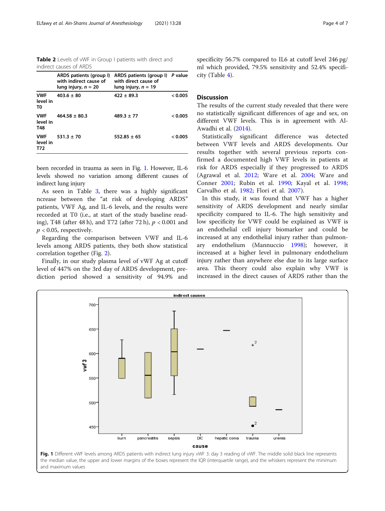<span id="page-3-0"></span>Table 2 Levels of vWF in Group I patients with direct and indirect causes of ARDS

|                               | ARDS patients (group I)<br>with indirect cause of<br>lung injury, $n = 20$ | ARDS patients (group I) P value<br>with direct cause of<br>lung injury, $n = 19$ |         |
|-------------------------------|----------------------------------------------------------------------------|----------------------------------------------------------------------------------|---------|
| <b>VWF</b><br>level in<br>T0  | $403.6 \pm 80$                                                             | $422 \pm 89.3$                                                                   | < 0.005 |
| <b>VWF</b><br>level in<br>T48 | $464.58 + 80.3$                                                            | $489.3 + 77$                                                                     | < 0.005 |
| <b>VWF</b><br>level in<br>T72 | $531.3 + 70$                                                               | $552.85 + 65$                                                                    | < 0.005 |

been recorded in trauma as seen in Fig. 1. However, IL-6 levels showed no variation among different causes of indirect lung injury

As seen in Table [3](#page-4-0), there was a highly significant ncrease between the "at risk of developing ARDS" patients, VWF Ag, and IL-6 levels, and the results were recorded at T0 (i.e., at start of the study baseline reading), T48 (after 48 h), and T72 (after 72 h),  $p < 0.001$  and  $p < 0.05$ , respectively.

Regarding the comparison between VWF and IL-6 levels among ARDS patients, they both show statistical correlation together (Fig. [2\)](#page-4-0).

Finally, in our study plasma level of vWF Ag at cutoff level of 447% on the 3rd day of ARDS development, prediction period showed a sensitivity of 94.9% and specificity 56.7% compared to IL6 at cutoff level 246 pg/ ml which provided, 79.5% sensitivity and 52.4% specificity (Table [4](#page-5-0)).

#### Discussion

The results of the current study revealed that there were no statistically significant differences of age and sex, on different VWF levels. This is in agreement with Al-Awadhi et al. ([2014](#page-5-0)).

Statistically significant difference was detected between VWF levels and ARDS developments. Our results together with several previous reports confirmed a documented high VWF levels in patients at risk for ARDS especially if they progressed to ARDS (Agrawal et al. [2012](#page-5-0); Ware et al. [2004;](#page-6-0) Ware and Conner [2001;](#page-6-0) Rubin et al. [1990](#page-6-0); Kayal et al. [1998](#page-6-0); Carvalho et al. [1982;](#page-5-0) Flori et al. [2007](#page-5-0)).

In this study, it was found that VWF has a higher sensitivity of ARDS development and nearly similar specificity compared to IL-6. The high sensitivity and low specificity for VWF could be explained as VWF is an endothelial cell injury biomarker and could be increased at any endothelial injury rather than pulmonary endothelium (Mannuccio [1998\)](#page-6-0); however, it increased at a higher level in pulmonary endothelium injury rather than anywhere else due to its large surface area. This theory could also explain why VWF is increased in the direct causes of ARDS rather than the



the median value, the upper and lower margins of the boxes represent the IQR (interquartile range), and the whiskers represent the minimum and maximum values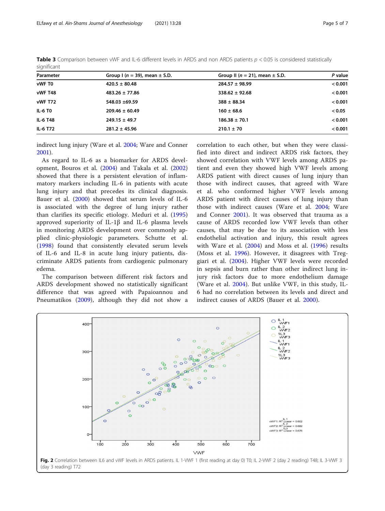| $-1 - 1$       |                                       |                                        |         |  |  |
|----------------|---------------------------------------|----------------------------------------|---------|--|--|
| Parameter      | Group I ( $n = 39$ ), mean $\pm$ S.D. | Group II ( $n = 21$ ), mean $\pm$ S.D. | P value |  |  |
| vWF T0         | $420.5 \pm 80.48$                     | $284.57 \pm 98.99$                     | < 0.001 |  |  |
| vWF T48        | $483.26 \pm 77.86$                    | $338.62 \pm 92.68$                     | < 0.001 |  |  |
| vWF T72        | 548.03 ±69.59                         | $388 \pm 88.34$                        | < 0.001 |  |  |
| <b>IL-6 TO</b> | $209.46 \pm 60.49$                    | $160 \pm 68.6$                         | < 0.05  |  |  |
| IL-6 T48       | $249.15 \pm 49.7$                     | $186.38 \pm 70.1$                      | < 0.001 |  |  |
| IL-6 T72       | $281.2 \pm 45.96$                     | $210.1 \pm 70$                         | < 0.001 |  |  |

<span id="page-4-0"></span>**Table 3** Comparison between vWF and IL-6 different levels in ARDS and non ARDS patients  $p < 0.05$  is considered statistically significant

indirect lung injury (Ware et al. [2004;](#page-6-0) Ware and Conner [2001](#page-6-0)).

As regard to IL-6 as a biomarker for ARDS development, Bouros et al. ([2004](#page-5-0)) and Takala et al. [\(2002](#page-6-0)) showed that there is a persistent elevation of inflammatory markers including IL-6 in patients with acute lung injury and that precedes its clinical diagnosis. Bauer et al. ([2000\)](#page-5-0) showed that serum levels of IL-6 is associated with the degree of lung injury rather than clarifies its specific etiology. Meduri et al. [\(1995](#page-6-0)) approved superiority of IL-1β and IL-6 plasma levels in monitoring ARDS development over commonly applied clinic-physiologic parameters. Schutte et al. ([1998\)](#page-6-0) found that consistently elevated serum levels of IL-6 and IL-8 in acute lung injury patients, discriminate ARDS patients from cardiogenic pulmonary edema.

The comparison between different risk factors and ARDS development showed no statistically significant difference that was agreed with Papaioannou and Pneumatikos ([2009\)](#page-6-0), although they did not show a correlation to each other, but when they were classified into direct and indirect ARDS risk factors, they showed correlation with VWF levels among ARDS patient and even they showed high VWF levels among ARDS patient with direct causes of lung injury than those with indirect causes, that agreed with Ware et al. who conformed higher VWF levels among ARDS patient with direct causes of lung injury than those with indirect causes (Ware et al. [2004;](#page-6-0) Ware and Conner [2001](#page-6-0)). It was observed that trauma as a cause of ARDS recorded low VWF levels than other causes, that may be due to its association with less endothelial activation and injury, this result agrees with Ware et al. [\(2004](#page-6-0)) and Moss et al. ([1996\)](#page-6-0) results (Moss et al. [1996\)](#page-6-0). However, it disagrees with Treggiari et al. [\(2004](#page-6-0)). Higher VWF levels were recorded in sepsis and burn rather than other indirect lung injury risk factors due to more endothelium damage (Ware et al. [2004\)](#page-6-0). But unlike VWF, in this study, IL-6 had no correlation between its levels and direct and indirect causes of ARDS (Bauer et al. [2000](#page-5-0)).

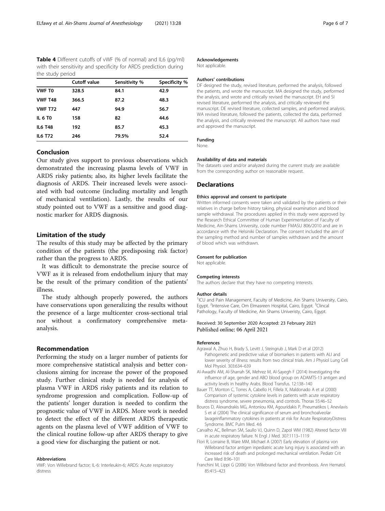<span id="page-5-0"></span>Table 4 Different cutoffs of vWF (% of normal) and IL6 (pg/ml) with their sensitivity and specificity for ARDS prediction during the study period

|                | <b>Cutoff value</b> | Sensitivity % | Specificity % |
|----------------|---------------------|---------------|---------------|
| <b>VWF TO</b>  | 328.5               | 84.1          | 42.9          |
| <b>VWF T48</b> | 366.5               | 87.2          | 48.3          |
| <b>VWF T72</b> | 447                 | 94.9          | 56.7          |
| <b>IL 6 TO</b> | 158                 | 82            | 44.6          |
| <b>IL6 T48</b> | 192                 | 85.7          | 45.3          |
| <b>IL6 T72</b> | 246                 | 79.5%         | 52.4          |

#### Conclusion

Our study gives support to previous observations which demonstrated the increasing plasma levels of VWF in ARDS risky patients; also, its higher levels facilitate the diagnosis of ARDS. Their increased levels were associated with bad outcome (including mortality and length of mechanical ventilation). Lastly, the results of our study pointed out to VWF as a sensitive and good diagnostic marker for ARDS diagnosis.

#### Limitation of the study

The results of this study may be affected by the primary condition of the patients (the predisposing risk factor) rather than the progress to ARDS.

It was difficult to demonstrate the precise source of VWF as it is released from endothelium injury that may be the result of the primary condition of the patients' illness.

The study although properly powered, the authors have conservations upon generalizing the results without the presence of a large multicenter cross-sectional trial nor without a confirmatory comprehensive metaanalysis.

#### Recommendation

Performing the study on a larger number of patients for more comprehensive statistical analysis and better conclusions aiming for increase the power of the proposed study. Further clinical study is needed for analysis of plasma VWF in ARDS risky patients and its relation to syndrome progression and complication. Follow-up of the patients' longer duration is needed to confirm the prognostic value of VWF in ARDS. More work is needed to detect the effect of the different ARDS therapeutic agents on the plasma level of VWF addition of VWF to the clinical routine follow-up after ARDS therapy to give a good view for discharging the patient or not.

#### Abbreviations

VWF: Von Willebrand factor; IL-6: Interleukin-6; ARDS: Acute respiratory distress

#### Acknowledgements

Not applicable.

#### Authors' contributions

DF designed the study, revised literature, performed the analysis, followed the patients, and wrote the manuscript. MA designed the study, performed the analysis, and wrote and critically revised the manuscript. EH and SI revised literature, performed the analysis, and critically reviewed the manuscript. DE revised literature, collected samples, and performed analysis. WA revised literature, followed the patients, collected the data, performed the analysis, and critically reviewed the manuscript. All authors have read and approved the manuscript.

#### Funding

None.

#### Availability of data and materials

The datasets used and/or analyzed during the current study are available from the corresponding author on reasonable request.

#### Declarations

#### Ethics approval and consent to participate

Written informed consents were taken and validated by the patients or their relatives in charge before history taking, physical examination and blood sample withdrawal. The procedures applied in this study were approved by the Research Ethical Committee of Human Experimentation of Faculty of Medicine, Ain-Shams University, code number FMASU 806/2010 and are in accordance with the Helsiniki Declaration. The consent included the aim of the sampling method and number of samples withdrawn and the amount of blood which was withdrawn.

#### Consent for publication

Not applicable.

#### Competing interests

The authors declare that they have no competing interests.

#### Author details

<sup>1</sup>ICU and Pain Management, Faculty of Medicine, Ain Shams University, Cairo Egypt. <sup>2</sup>Intensive Care, Om Elmasreen Hospital, Cairo, Egypt. <sup>3</sup>Clincal Pathology, Faculty of Medicine, Ain Shams Univeristy, Cairo, Egypt.

#### Received: 30 September 2020 Accepted: 23 February 2021 Published online: 06 April 2021

#### References

- Agrawal A, Zhuo H, Brady S, Levitt J, Steingrub J, Mark D et al (2012) Pathogenetic and predictive value of biomarkers in patients with ALI and lower severity of illness: results from two clinical trials. Am J Physiol Lung Cell Mol Physiol. 303:634–639
- Al-Awadhi AM, Al-Sharrah SK, Mehrez M, Al-Sayegh F (2014) Investigating the influence of age, gender and ABO blood group on ADAMTS-13 antigen and activity levels in healthy Arabs. Blood Transfus. 12:138–140
- Bauer TT, Monton C, Torres A, Cabello H, Fillela X, Maldonado A et al (2000) Comparison of systemic cytokine levels in patients with acute respiratory distress syndrome, severe pneumonia, and controls. Thorax 55:46–52
- Bouros D, Alexandrakis MG, Antoniou KM, Agouridakis P, Pneumatikos I, Anevlavis S et al (2004) The clinical significance of serum and bronchoalveolar lavageinflammatory cytokines in patients at risk for Acute RespiratoryDistress Syndrome. BMC Pulm Med. 4:6
- Carvalho AC, Bellman SM, Saullo VJ, Quinn D, Zapol WM (1982) Altered factor VIII in acute respiratory failure. N Engl J Med. 307:1113–1119
- Flori R, Lorraine B, Ware MM, Michael A (2007) Early elevation of plasma von Willebrand factor antigen inpediatric acute lung injury is associated with an increased risk of death and prolonged mechanical ventilation. Pediatr Crit Care Med 8:96–101
- Franchini M, Lippi G (2006) Von Willebrand factor and thrombosis. Ann Hematol. 85:415–423